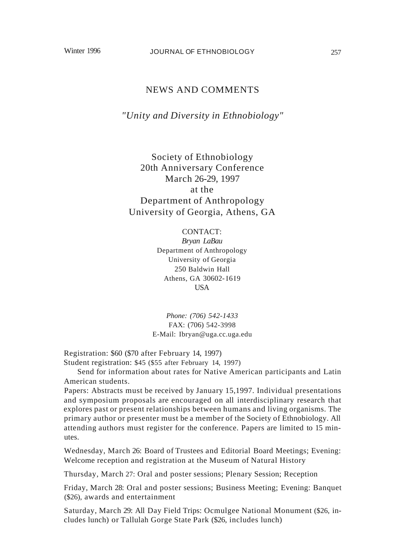## NEWS AND COMMENTS

*"Unity and Diversity in Ethnobiology"*

Society of Ethnobiology 20th Anniversary Conference March 26-29, 1997 at the Department of Anthropology University of Georgia, Athens, GA

> CONTACT: *Bryan LaBau* Department of Anthropology University of Georgia 250 Baldwin Hall Athens, GA 30602-1619 USA

*Phone: (706) 542-1433* FAX: (706) 542-3998 E-Mail: Ibryan@uga.cc.uga.edu

Registration: \$60 (\$70 after February 14, 1997) Student registration: \$45 (\$55 after February 14, 1997)

Send for information about rates for Native American participants and Latin American students.

Papers: Abstracts must be received by January 15,1997. Individual presentations and symposium proposals are encouraged on all interdisciplinary research that explores past or present relationships between humans and living organisms. The primary author or presenter must be a member of the Society of Ethnobiology. All attending authors must register for the conference. Papers are limited to 15 minutes.

Wednesday, March 26: Board of Trustees and Editorial Board Meetings; Evening: Welcome reception and registration at the Museum of Natural History

Thursday, March 27: Oral and poster sessions; Plenary Session; Reception

Friday, March 28: Oral and poster sessions; Business Meeting; Evening: Banquet (\$26), awards and entertainment

Saturday, March 29: All Day Field Trips: Ocmulgee National Monument (\$26, includes lunch) or Tallulah Gorge State Park (\$26, includes lunch)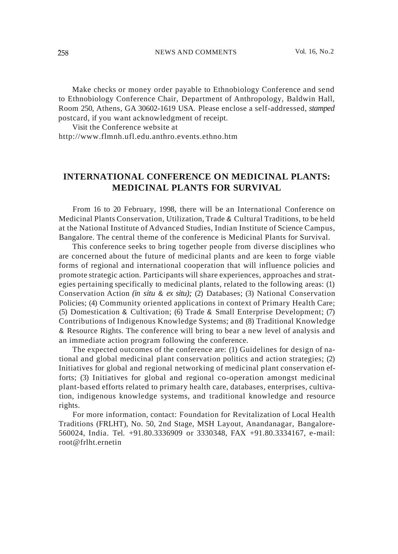Make checks or money order payable to Ethnobiology Conference and send to Ethnobiology Conference Chair, Department of Anthropology, Baldwin Hall, Room 250, Athens, GA 30602-1619 USA. Please enclose a self-addressed, *stamped* postcard, if you want acknowledgment of receipt.

Visit the Conference website at http://www.flmnh.ufl.edu.anthro.events.ethno.htm

## **INTERNATIONAL CONFERENCE ON MEDICINAL PLANTS: MEDICINAL PLANTS FOR SURVIVAL**

From 16 to 20 February, 1998, there will be an International Conference on Medicinal Plants Conservation, Utilization, Trade & Cultural Traditions, to be held at the National Institute of Advanced Studies, Indian Institute of Science Campus, Bangalore. The central theme of the conference is Medicinal Plants for Survival.

This conference seeks to bring together people from diverse disciplines who are concerned about the future of medicinal plants and are keen to forge viable forms of regional and international cooperation that will influence policies and promote strategic action. Participants will share experiences, approaches and strategies pertaining specifically to medicinal plants, related to the following areas: (1) Conservation Action *(in situ* & *ex situ);* (2) Databases; (3) National Conservation Policies; (4) Community oriented applications in context of Primary Health Care; (5) Domestication & Cultivation; (6) Trade & Small Enterprise Development; (7) Contributions of Indigenous Knowledge Systems; and (8) Traditional Knowledge & Resource Rights. The conference will bring to bear a new level of analysis and an immediate action program following the conference.

The expected outcomes of the conference are: (1) Guidelines for design of national and global medicinal plant conservation politics and action strategies; (2) Initiatives for global and regional networking of medicinal plant conservation efforts; (3) Initiatives for global and regional co-operation amongst medicinal plant-based efforts related to primary health care, databases, enterprises, cultivation, indigenous knowledge systems, and traditional knowledge and resource rights.

For more information, contact: Foundation for Revitalization of Local Health Traditions (FRLHT), No. 50, 2nd Stage, MSH Layout, Anandanagar, Bangalore-560024, India. Tel. +91.80.3336909 or 3330348, FAX +91.80.3334167, e-mail: root@frlht.ernetin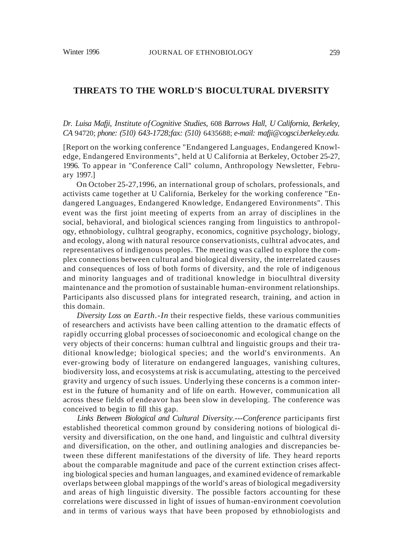## **THREATS TO THE WORLD'S BIOCULTURAL DIVERSITY**

## *Dr. Luisa Mafji, Institute ofCognitive Studies,* 608 *Barrows Hall, U California, Berkeley, CA* 94720; *phone: (510) 643-1728;fax: (510)* 6435688; *e-mail: mafji@cogsci.berkeley.edu.*

[Report on the working conference "Endangered Languages, Endangered Knowledge, Endangered Environments", held at U California at Berkeley, October 25-27, 1996. To appear in "Conference Call" column, Anthropology Newsletter, February 1997.]

On October 25-27,1996, an international group of scholars, professionals, and activists came together at U California, Berkeley for the working conference "Endangered Languages, Endangered Knowledge, Endangered Environments". This event was the first joint meeting of experts from an array of disciplines in the social, behavioral, and biological sciences ranging from linguistics to anthropology, ethnobiology, culhtral geography, economics, cognitive psychology, biology, and ecology, along with natural resource conservationists, culhtral advocates, and representatives of indigenous peoples. The meeting was called to explore the complex connections between cultural and biological diversity, the interrelated causes and consequences of loss of both forms of diversity, and the role of indigenous and minority languages and of traditional knowledge in bioculhtral diversity maintenance and the promotion of sustainable human-environment relationships. Participants also discussed plans for integrated research, training, and action in this domain.

*Diversity Loss on Earth.-In* their respective fields, these various communities of researchers and activists have been calling attention to the dramatic effects of rapidly occurring global processes ofsocioeconomic and ecological change on the very objects of their concerns: human culhtral and linguistic groups and their traditional knowledge; biological species; and the world's environments. An ever-growing body of literature on endangered languages, vanishing cultures, biodiversity loss, and ecosystems at risk is accumulating, attesting to the perceived gravity and urgency of such issues. Underlying these concerns is a common interest in the future of humanity and of life on earth. However, communication all across these fields of endeavor has been slow in developing. The conference was conceived to begin to fill this gap.

*Links Between Biological and Cultural Diversity.---Conference* participants first established theoretical common ground by considering notions of biological diversity and diversification, on the one hand, and linguistic and culhtral diversity and diversification, on the other, and outlining analogies and discrepancies between these different manifestations of the diversity of life. They heard reports about the comparable magnitude and pace of the current extinction crises affecting biological species and human languages, and examined evidence of remarkable overlaps between global mappings of the world's areas of biological megadiversity and areas of high linguistic diversity. The possible factors accounting for these correlations were discussed in light of issues of human-environment coevolution and in terms of various ways that have been proposed by ethnobiologists and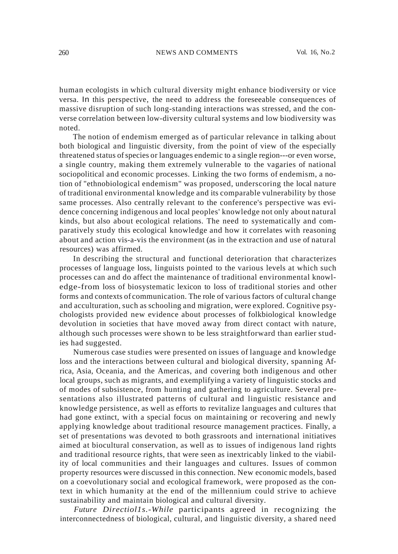human ecologists in which cultural diversity might enhance biodiversity or vice versa. In this perspective, the need to address the foreseeable consequences of massive disruption of such long-standing interactions was stressed, and the converse correlation between low-diversity cultural systems and low biodiversity was noted.

The notion of endemism emerged as of particular relevance in talking about both biological and linguistic diversity, from the point of view of the especially threatened status of species or languages endemic to a single region---or even worse, a single country, making them extremely vulnerable to the vagaries of national sociopolitical and economic processes. Linking the two forms of endemism, a notion of "ethnobiological endemism" was proposed, underscoring the local nature of traditional environmental knowledge and its comparable vulnerability by those same processes. Also centrally relevant to the conference's perspective was evidence concerning indigenous and local peoples' knowledge not only about natural kinds, but also about ecological relations. The need to systematically and comparatively study this ecological knowledge and how it correlates with reasoning about and action vis-a-vis the environment (as in the extraction and use of natural resources) was affirmed.

In describing the structural and functional deterioration that characterizes processes of language loss, linguists pointed to the various levels at which such processes can and do affect the maintenance of traditional environmental knowledge-from loss of biosystematic lexicon to loss of traditional stories and other forms and contexts of communication. The role of various factors of cultural change and acculturation, such as schooling and migration, were explored. Cognitive psychologists provided new evidence about processes of folkbiological knowledge devolution in societies that have moved away from direct contact with nature, although such processes were shown to be less straightforward than earlier studies had suggested.

Numerous case studies were presented on issues of language and knowledge loss and the interactions between cultural and biological diversity, spanning Africa, Asia, Oceania, and the Americas, and covering both indigenous and other local groups, such as migrants, and exemplifying a variety of linguistic stocks and of modes of subsistence, from hunting and gathering to agriculture. Several presentations also illustrated patterns of cultural and linguistic resistance and knowledge persistence, as well as efforts to revitalize languages and cultures that had gone extinct, with a special focus on maintaining or recovering and newly applying knowledge about traditional resource management practices. Finally, a set of presentations was devoted to both grassroots and international initiatives aimed at biocultural conservation, as well as to issues of indigenous land rights and traditional resource rights, that were seen as inextricably linked to the viability of local communities and their languages and cultures. Issues of common property resources were discussed in this connection. New economic models, based on a coevolutionary social and ecological framework, were proposed as the context in which humanity at the end of the millennium could strive to achieve sustainability and maintain biological and cultural diversity.

*Future Directiol1s.-While* participants agreed in recognizing the interconnectedness of biological, cultural, and linguistic diversity, a shared need